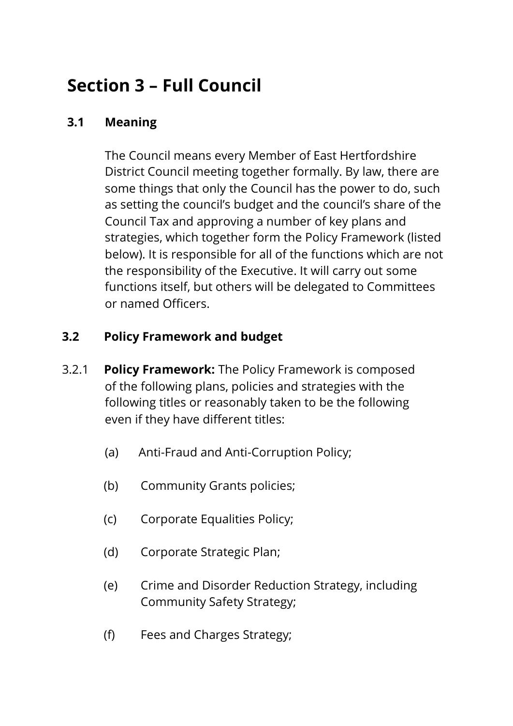# **Section 3 – Full Council**

## **3.1 Meaning**

The Council means every Member of East Hertfordshire District Council meeting together formally. By law, there are some things that only the Council has the power to do, such as setting the council's budget and the council's share of the Council Tax and approving a number of key plans and strategies, which together form the Policy Framework (listed below). It is responsible for all of the functions which are not the responsibility of the Executive. It will carry out some functions itself, but others will be delegated to Committees or named Officers.

## **3.2 Policy Framework and budget**

- 3.2.1 **Policy Framework:** The Policy Framework is composed of the following plans, policies and strategies with the following titles or reasonably taken to be the following even if they have different titles:
	- (a) Anti-Fraud and Anti-Corruption Policy;
	- (b) Community Grants policies;
	- (c) Corporate Equalities Policy;
	- (d) Corporate Strategic Plan;
	- (e) Crime and Disorder Reduction Strategy, including Community Safety Strategy;
	- (f) Fees and Charges Strategy;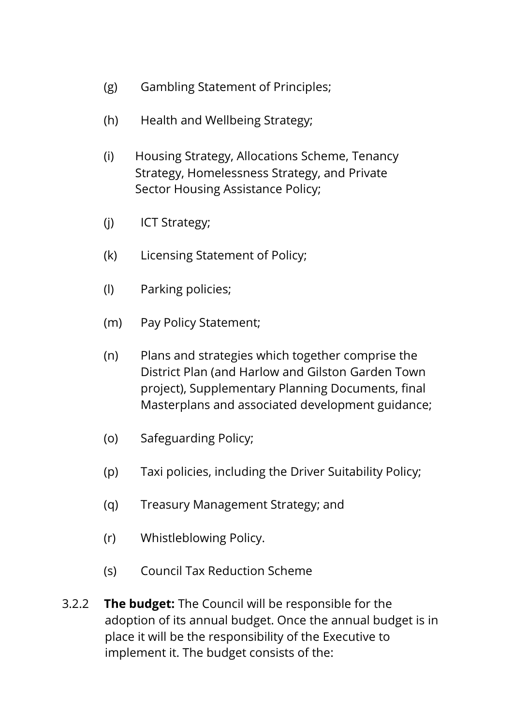- (g) Gambling Statement of Principles;
- (h) Health and Wellbeing Strategy;
- (i) Housing Strategy, Allocations Scheme, Tenancy Strategy, Homelessness Strategy, and Private Sector Housing Assistance Policy;
- (j) ICT Strategy;
- (k) Licensing Statement of Policy;
- (l) Parking policies;
- (m) Pay Policy Statement;
- (n) Plans and strategies which together comprise the District Plan (and Harlow and Gilston Garden Town project), Supplementary Planning Documents, final Masterplans and associated development guidance;
- (o) Safeguarding Policy;
- (p) Taxi policies, including the Driver Suitability Policy;
- (q) Treasury Management Strategy; and
- (r) Whistleblowing Policy.
- (s) Council Tax Reduction Scheme
- 3.2.2 **The budget:** The Council will be responsible for the adoption of its annual budget. Once the annual budget is in place it will be the responsibility of the Executive to implement it. The budget consists of the: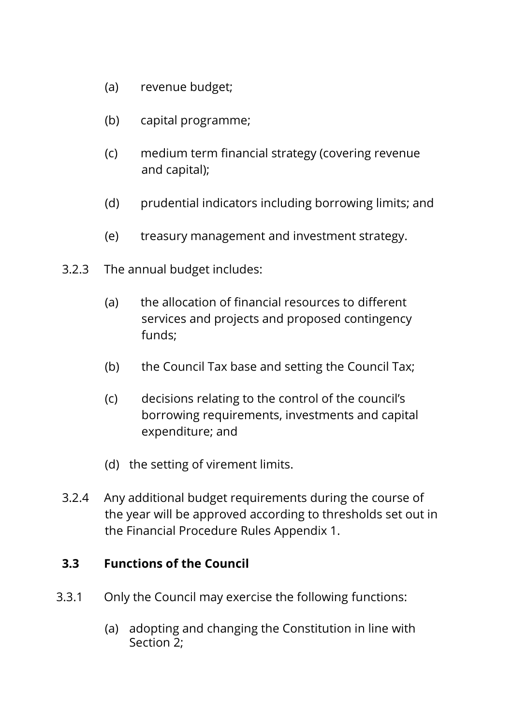- (a) revenue budget;
- (b) capital programme;
- (c) medium term financial strategy (covering revenue and capital);
- (d) prudential indicators including borrowing limits; and
- (e) treasury management and investment strategy.
- 3.2.3 The annual budget includes:
	- (a) the allocation of financial resources to different services and projects and proposed contingency funds;
	- (b) the Council Tax base and setting the Council Tax;
	- (c) decisions relating to the control of the council's borrowing requirements, investments and capital expenditure; and
	- (d) the setting of virement limits.
- 3.2.4 Any additional budget requirements during the course of the year will be approved according to thresholds set out in the Financial Procedure Rules Appendix 1.

#### **3.3 Functions of the Council**

- 3.3.1 Only the Council may exercise the following functions:
	- (a) adopting and changing the Constitution in line with Section 2;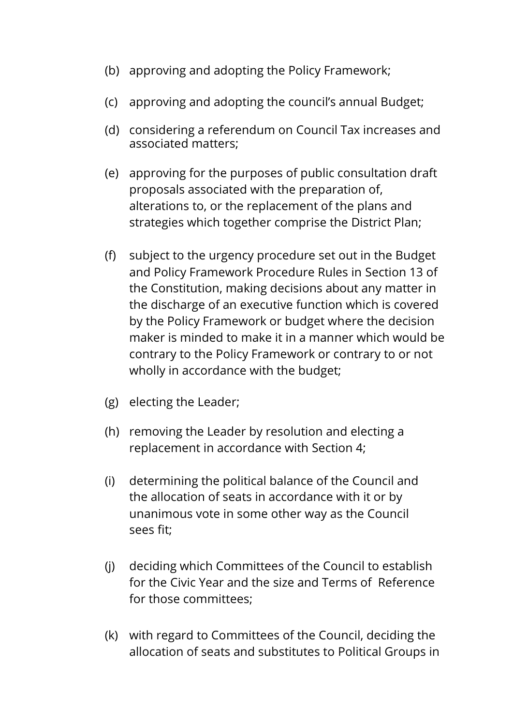- (b) approving and adopting the Policy Framework;
- (c) approving and adopting the council's annual Budget;
- (d) considering a referendum on Council Tax increases and associated matters;
- (e) approving for the purposes of public consultation draft proposals associated with the preparation of, alterations to, or the replacement of the plans and strategies which together comprise the District Plan;
- (f) subject to the urgency procedure set out in the Budget and Policy Framework Procedure Rules in Section 13 of the Constitution, making decisions about any matter in the discharge of an executive function which is covered by the Policy Framework or budget where the decision maker is minded to make it in a manner which would be contrary to the Policy Framework or contrary to or not wholly in accordance with the budget;
- (g) electing the Leader;
- (h) removing the Leader by resolution and electing a replacement in accordance with Section 4;
- (i) determining the political balance of the Council and the allocation of seats in accordance with it or by unanimous vote in some other way as the Council sees fit;
- (j) deciding which Committees of the Council to establish for the Civic Year and the size and Terms of Reference for those committees;
- (k) with regard to Committees of the Council, deciding the allocation of seats and substitutes to Political Groups in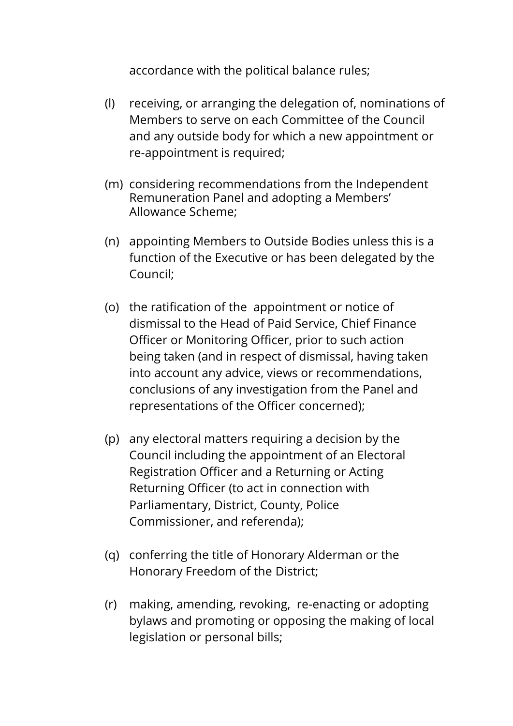accordance with the political balance rules;

- (l) receiving, or arranging the delegation of, nominations of Members to serve on each Committee of the Council and any outside body for which a new appointment or re-appointment is required;
- (m) considering recommendations from the Independent Remuneration Panel and adopting a Members' Allowance Scheme;
- (n) appointing Members to Outside Bodies unless this is a function of the Executive or has been delegated by the Council;
- (o) the ratification of the appointment or notice of dismissal to the Head of Paid Service, Chief Finance Officer or Monitoring Officer, prior to such action being taken (and in respect of dismissal, having taken into account any advice, views or recommendations, conclusions of any investigation from the Panel and representations of the Officer concerned);
- (p) any electoral matters requiring a decision by the Council including the appointment of an Electoral Registration Officer and a Returning or Acting Returning Officer (to act in connection with Parliamentary, District, County, Police Commissioner, and referenda);
- (q) conferring the title of Honorary Alderman or the Honorary Freedom of the District;
- (r) making, amending, revoking, re-enacting or adopting bylaws and promoting or opposing the making of local legislation or personal bills;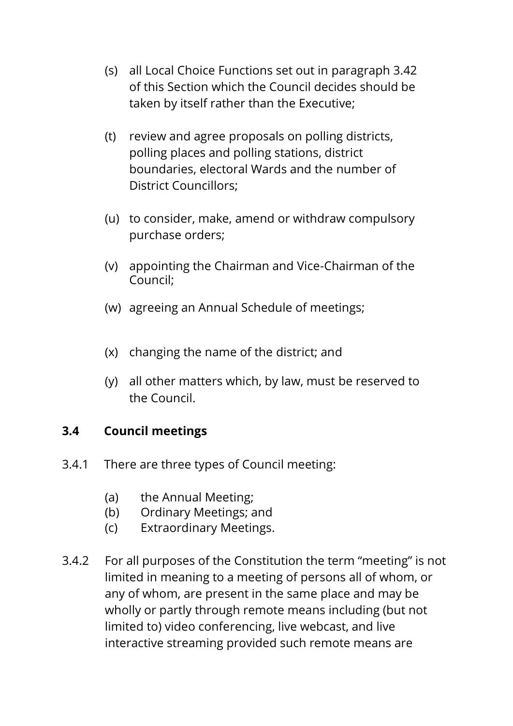- (s) all Local Choice Functions set out in paragraph 3.42 of this Section which the Council decides should be taken by itself rather than the Executive;
- (t) review and agree proposals on polling districts, polling places and polling stations, district boundaries, electoral Wards and the number of District Councillors;
- (u) to consider, make, amend or withdraw compulsory purchase orders;
- (v) appointing the Chairman and Vice-Chairman of the Council;
- (w) agreeing an Annual Schedule of meetings;
- (x) changing the name of the district; and
- (y) all other matters which, by law, must be reserved to the Council.

#### **3.4 Council meetings**

- 3.4.1 There are three types of Council meeting:
	- (a) the Annual Meeting;
	- (b) Ordinary Meetings; and
	- (c) Extraordinary Meetings.
- 3.4.2 For all purposes of the Constitution the term "meeting" is not limited in meaning to a meeting of persons all of whom, or any of whom, are present in the same place and may be wholly or partly through remote means including (but not limited to) video conferencing, live webcast, and live interactive streaming provided such remote means are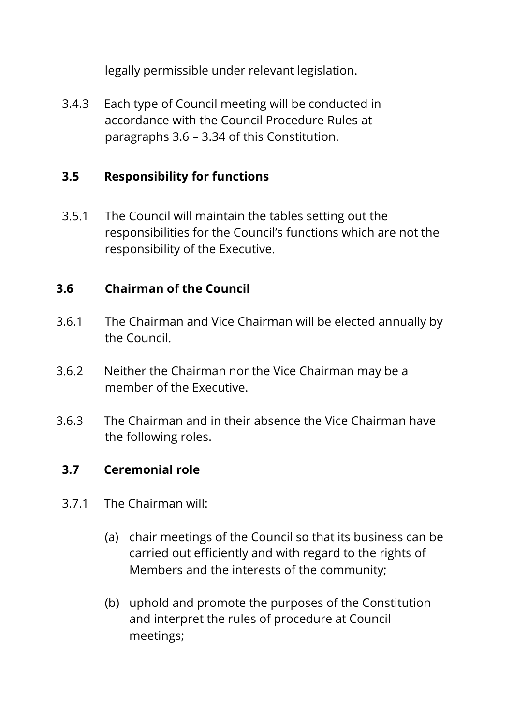legally permissible under relevant legislation.

3.4.3 Each type of Council meeting will be conducted in accordance with the Council Procedure Rules at paragraphs 3.6 – 3.34 of this Constitution.

#### **3.5 Responsibility for functions**

3.5.1 The Council will maintain the tables setting out the responsibilities for the Council's functions which are not the responsibility of the Executive.

### **3.6 Chairman of the Council**

- 3.6.1 The Chairman and Vice Chairman will be elected annually by the Council.
- 3.6.2 Neither the Chairman nor the Vice Chairman may be a member of the Executive.
- 3.6.3 The Chairman and in their absence the Vice Chairman have the following roles.

#### **3.7 Ceremonial role**

- 3.7.1 The Chairman will:
	- (a) chair meetings of the Council so that its business can be carried out efficiently and with regard to the rights of Members and the interests of the community;
	- (b) uphold and promote the purposes of the Constitution and interpret the rules of procedure at Council meetings;